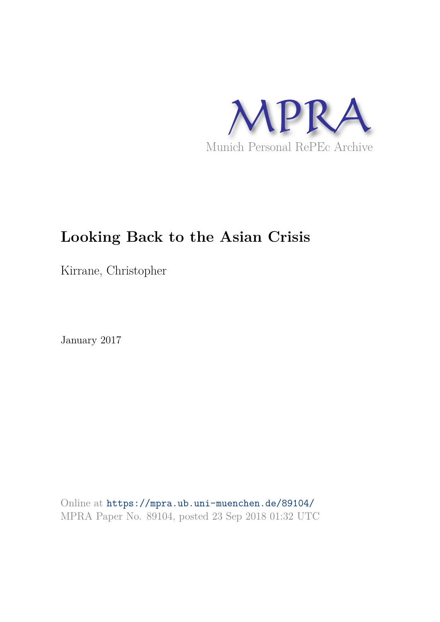

# **Looking Back to the Asian Crisis**

Kirrane, Christopher

January 2017

Online at https://mpra.ub.uni-muenchen.de/89104/ MPRA Paper No. 89104, posted 23 Sep 2018 01:32 UTC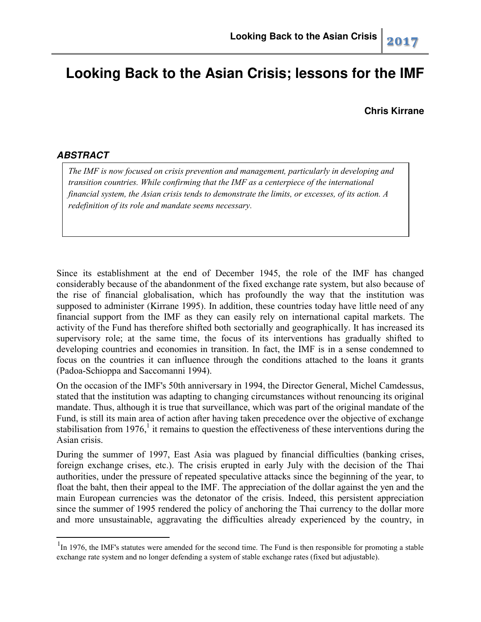## **Looking Back to the Asian Crisis; lessons for the IMF**

**Chris Kirrane** 

## *ABSTRACT*

l

*The IMF is now focused on crisis prevention and management, particularly in developing and transition countries. While confirming that the IMF as a centerpiece of the international financial system, the Asian crisis tends to demonstrate the limits, or excesses, of its action. A redefinition of its role and mandate seems necessary.*

Since its establishment at the end of December 1945, the role of the IMF has changed considerably because of the abandonment of the fixed exchange rate system, but also because of the rise of financial globalisation, which has profoundly the way that the institution was supposed to administer (Kirrane 1995). In addition, these countries today have little need of any financial support from the IMF as they can easily rely on international capital markets. The activity of the Fund has therefore shifted both sectorially and geographically. It has increased its supervisory role; at the same time, the focus of its interventions has gradually shifted to developing countries and economies in transition. In fact, the IMF is in a sense condemned to focus on the countries it can influence through the conditions attached to the loans it grants (Padoa-Schioppa and Saccomanni 1994).

On the occasion of the IMF's 50th anniversary in 1994, the Director General, Michel Camdessus, stated that the institution was adapting to changing circumstances without renouncing its original mandate. Thus, although it is true that surveillance, which was part of the original mandate of the Fund, is still its main area of action after having taken precedence over the objective of exchange stabilisation from 1976,<sup>1</sup> it remains to question the effectiveness of these interventions during the Asian crisis.

During the summer of 1997, East Asia was plagued by financial difficulties (banking crises, foreign exchange crises, etc.). The crisis erupted in early July with the decision of the Thai authorities, under the pressure of repeated speculative attacks since the beginning of the year, to float the baht, then their appeal to the IMF. The appreciation of the dollar against the yen and the main European currencies was the detonator of the crisis. Indeed, this persistent appreciation since the summer of 1995 rendered the policy of anchoring the Thai currency to the dollar more and more unsustainable, aggravating the difficulties already experienced by the country, in

<sup>&</sup>lt;sup>1</sup>In 1976, the IMF's statutes were amended for the second time. The Fund is then responsible for promoting a stable exchange rate system and no longer defending a system of stable exchange rates (fixed but adjustable).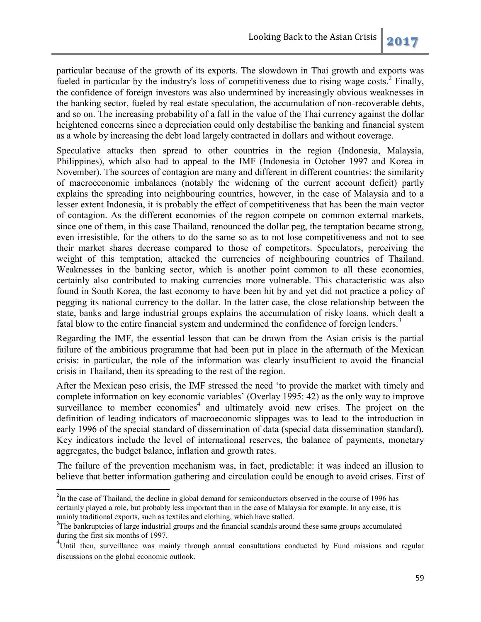particular because of the growth of its exports. The slowdown in Thai growth and exports was fueled in particular by the industry's loss of competitiveness due to rising wage costs.<sup>2</sup> Finally, the confidence of foreign investors was also undermined by increasingly obvious weaknesses in the banking sector, fueled by real estate speculation, the accumulation of non-recoverable debts, and so on. The increasing probability of a fall in the value of the Thai currency against the dollar heightened concerns since a depreciation could only destabilise the banking and financial system as a whole by increasing the debt load largely contracted in dollars and without coverage.

Speculative attacks then spread to other countries in the region (Indonesia, Malaysia, Philippines), which also had to appeal to the IMF (Indonesia in October 1997 and Korea in November). The sources of contagion are many and different in different countries: the similarity of macroeconomic imbalances (notably the widening of the current account deficit) partly explains the spreading into neighbouring countries, however, in the case of Malaysia and to a lesser extent Indonesia, it is probably the effect of competitiveness that has been the main vector of contagion. As the different economies of the region compete on common external markets, since one of them, in this case Thailand, renounced the dollar peg, the temptation became strong, even irresistible, for the others to do the same so as to not lose competitiveness and not to see their market shares decrease compared to those of competitors. Speculators, perceiving the weight of this temptation, attacked the currencies of neighbouring countries of Thailand. Weaknesses in the banking sector, which is another point common to all these economies, certainly also contributed to making currencies more vulnerable. This characteristic was also found in South Korea, the last economy to have been hit by and yet did not practice a policy of pegging its national currency to the dollar. In the latter case, the close relationship between the state, banks and large industrial groups explains the accumulation of risky loans, which dealt a fatal blow to the entire financial system and undermined the confidence of foreign lenders.<sup>3</sup>

Regarding the IMF, the essential lesson that can be drawn from the Asian crisis is the partial failure of the ambitious programme that had been put in place in the aftermath of the Mexican crisis: in particular, the role of the information was clearly insufficient to avoid the financial crisis in Thailand, then its spreading to the rest of the region.

After the Mexican peso crisis, the IMF stressed the need 'to provide the market with timely and complete information on key economic variables' (Overlay 1995: 42) as the only way to improve surveillance to member economies<sup>4</sup> and ultimately avoid new crises. The project on the definition of leading indicators of macroeconomic slippages was to lead to the introduction in early 1996 of the special standard of dissemination of data (special data dissemination standard). Key indicators include the level of international reserves, the balance of payments, monetary aggregates, the budget balance, inflation and growth rates.

The failure of the prevention mechanism was, in fact, predictable: it was indeed an illusion to believe that better information gathering and circulation could be enough to avoid crises. First of

<sup>&</sup>lt;sup>2</sup>In the case of Thailand, the decline in global demand for semiconductors observed in the course of 1996 has certainly played a role, but probably less important than in the case of Malaysia for example. In any case, it is mainly traditional exports, such as textiles and clothing, which have stalled.

<sup>&</sup>lt;sup>3</sup>The bankruptcies of large industrial groups and the financial scandals around these same groups accumulated during the first six months of 1997.

<sup>&</sup>lt;sup>4</sup>Until then, surveillance was mainly through annual consultations conducted by Fund missions and regular discussions on the global economic outlook.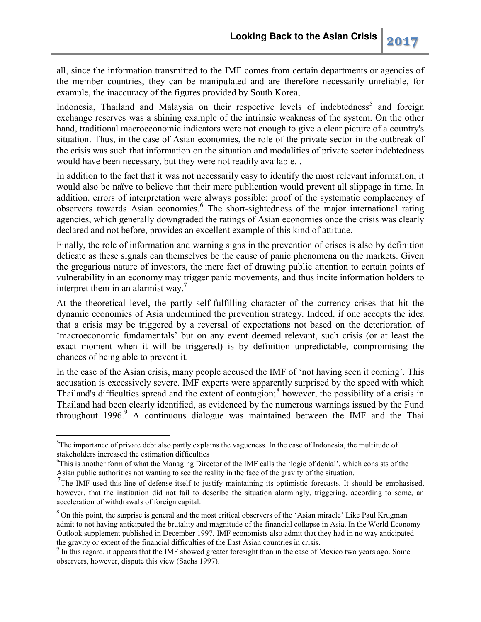all, since the information transmitted to the IMF comes from certain departments or agencies of the member countries, they can be manipulated and are therefore necessarily unreliable, for example, the inaccuracy of the figures provided by South Korea,

Indonesia, Thailand and Malaysia on their respective levels of indebtedness<sup>5</sup> and foreign exchange reserves was a shining example of the intrinsic weakness of the system. On the other hand, traditional macroeconomic indicators were not enough to give a clear picture of a country's situation. Thus, in the case of Asian economies, the role of the private sector in the outbreak of the crisis was such that information on the situation and modalities of private sector indebtedness would have been necessary, but they were not readily available. .

In addition to the fact that it was not necessarily easy to identify the most relevant information, it would also be naïve to believe that their mere publication would prevent all slippage in time. In addition, errors of interpretation were always possible: proof of the systematic complacency of observers towards Asian economies.<sup>6</sup> The short-sightedness of the major international rating agencies, which generally downgraded the ratings of Asian economies once the crisis was clearly declared and not before, provides an excellent example of this kind of attitude.

Finally, the role of information and warning signs in the prevention of crises is also by definition delicate as these signals can themselves be the cause of panic phenomena on the markets. Given the gregarious nature of investors, the mere fact of drawing public attention to certain points of vulnerability in an economy may trigger panic movements, and thus incite information holders to interpret them in an alarmist way.<sup>7</sup>

At the theoretical level, the partly self-fulfilling character of the currency crises that hit the dynamic economies of Asia undermined the prevention strategy. Indeed, if one accepts the idea that a crisis may be triggered by a reversal of expectations not based on the deterioration of 'macroeconomic fundamentals' but on any event deemed relevant, such crisis (or at least the exact moment when it will be triggered) is by definition unpredictable, compromising the chances of being able to prevent it.

In the case of the Asian crisis, many people accused the IMF of 'not having seen it coming'. This accusation is excessively severe. IMF experts were apparently surprised by the speed with which Thailand's difficulties spread and the extent of contagion;<sup>8</sup> however, the possibility of a crisis in Thailand had been clearly identified, as evidenced by the numerous warnings issued by the Fund throughout 1996.<sup>9</sup> A continuous dialogue was maintained between the IMF and the Thai

<sup>&</sup>lt;sup>5</sup>The importance of private debt also partly explains the vagueness. In the case of Indonesia, the multitude of stakeholders increased the estimation difficulties

<sup>&</sup>lt;sup>6</sup>This is another form of what the Managing Director of the IMF calls the 'logic of denial', which consists of the Asian public authorities not wanting to see the reality in the face of the gravity of the situation.

<sup>&</sup>lt;sup>7</sup>The IMF used this line of defense itself to justify maintaining its optimistic forecasts. It should be emphasised, however, that the institution did not fail to describe the situation alarmingly, triggering, according to some, an acceleration of withdrawals of foreign capital.

<sup>&</sup>lt;sup>8</sup> On this point, the surprise is general and the most critical observers of the 'Asian miracle' Like Paul Krugman admit to not having anticipated the brutality and magnitude of the financial collapse in Asia. In the World Economy Outlook supplement published in December 1997, IMF economists also admit that they had in no way anticipated the gravity or extent of the financial difficulties of the East Asian countries in crisis.

<sup>&</sup>lt;sup>9</sup> In this regard, it appears that the IMF showed greater foresight than in the case of Mexico two years ago. Some observers, however, dispute this view (Sachs 1997).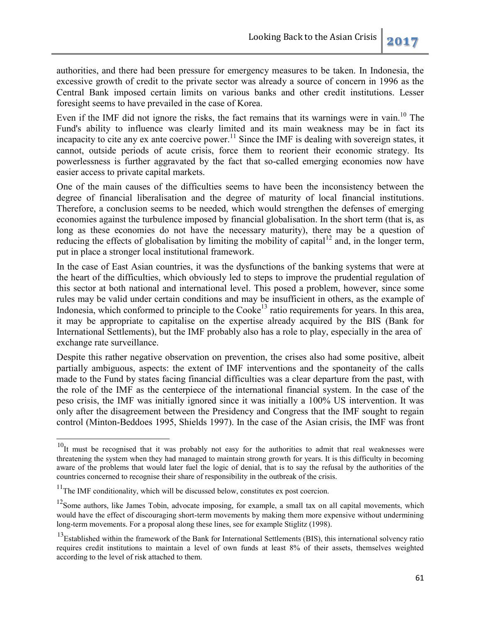authorities, and there had been pressure for emergency measures to be taken. In Indonesia, the excessive growth of credit to the private sector was already a source of concern in 1996 as the Central Bank imposed certain limits on various banks and other credit institutions. Lesser foresight seems to have prevailed in the case of Korea.

Even if the IMF did not ignore the risks, the fact remains that its warnings were in vain.<sup>10</sup> The Fund's ability to influence was clearly limited and its main weakness may be in fact its incapacity to cite any ex ante coercive power.<sup>11</sup> Since the IMF is dealing with sovereign states, it cannot, outside periods of acute crisis, force them to reorient their economic strategy. Its powerlessness is further aggravated by the fact that so-called emerging economies now have easier access to private capital markets.

One of the main causes of the difficulties seems to have been the inconsistency between the degree of financial liberalisation and the degree of maturity of local financial institutions. Therefore, a conclusion seems to be needed, which would strengthen the defenses of emerging economies against the turbulence imposed by financial globalisation. In the short term (that is, as long as these economies do not have the necessary maturity), there may be a question of reducing the effects of globalisation by limiting the mobility of capital<sup>12</sup> and, in the longer term, put in place a stronger local institutional framework.

In the case of East Asian countries, it was the dysfunctions of the banking systems that were at the heart of the difficulties, which obviously led to steps to improve the prudential regulation of this sector at both national and international level. This posed a problem, however, since some rules may be valid under certain conditions and may be insufficient in others, as the example of Indonesia, which conformed to principle to the  $Cooke<sup>13</sup>$  ratio requirements for years. In this area, it may be appropriate to capitalise on the expertise already acquired by the BIS (Bank for International Settlements), but the IMF probably also has a role to play, especially in the area of exchange rate surveillance.

Despite this rather negative observation on prevention, the crises also had some positive, albeit partially ambiguous, aspects: the extent of IMF interventions and the spontaneity of the calls made to the Fund by states facing financial difficulties was a clear departure from the past, with the role of the IMF as the centerpiece of the international financial system. In the case of the peso crisis, the IMF was initially ignored since it was initially a 100% US intervention. It was only after the disagreement between the Presidency and Congress that the IMF sought to regain control (Minton-Beddoes 1995, Shields 1997). In the case of the Asian crisis, the IMF was front

 $\overline{a}$ 

 $10$ It must be recognised that it was probably not easy for the authorities to admit that real weaknesses were threatening the system when they had managed to maintain strong growth for years. It is this difficulty in becoming aware of the problems that would later fuel the logic of denial, that is to say the refusal by the authorities of the countries concerned to recognise their share of responsibility in the outbreak of the crisis.

 $11$ The IMF conditionality, which will be discussed below, constitutes ex post coercion.

 $12$ Some authors, like James Tobin, advocate imposing, for example, a small tax on all capital movements, which would have the effect of discouraging short-term movements by making them more expensive without undermining long-term movements. For a proposal along these lines, see for example Stiglitz (1998).

<sup>&</sup>lt;sup>13</sup>Established within the framework of the Bank for International Settlements (BIS), this international solvency ratio requires credit institutions to maintain a level of own funds at least 8% of their assets, themselves weighted according to the level of risk attached to them.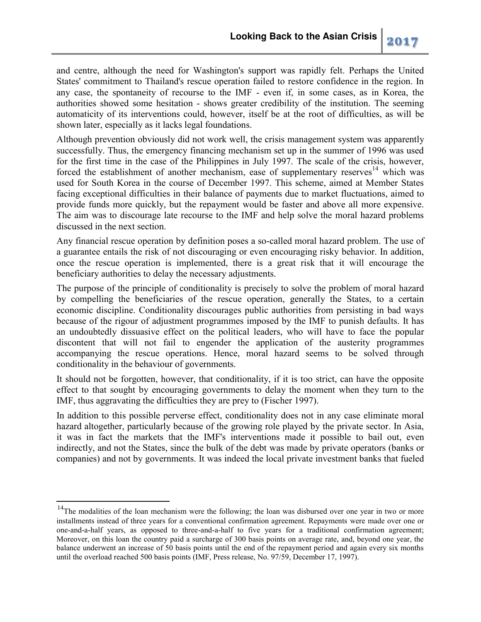and centre, although the need for Washington's support was rapidly felt. Perhaps the United States' commitment to Thailand's rescue operation failed to restore confidence in the region. In any case, the spontaneity of recourse to the IMF - even if, in some cases, as in Korea, the authorities showed some hesitation - shows greater credibility of the institution. The seeming automaticity of its interventions could, however, itself be at the root of difficulties, as will be shown later, especially as it lacks legal foundations.

Although prevention obviously did not work well, the crisis management system was apparently successfully. Thus, the emergency financing mechanism set up in the summer of 1996 was used for the first time in the case of the Philippines in July 1997. The scale of the crisis, however, forced the establishment of another mechanism, ease of supplementary reserves<sup>14</sup> which was used for South Korea in the course of December 1997. This scheme, aimed at Member States facing exceptional difficulties in their balance of payments due to market fluctuations, aimed to provide funds more quickly, but the repayment would be faster and above all more expensive. The aim was to discourage late recourse to the IMF and help solve the moral hazard problems discussed in the next section.

Any financial rescue operation by definition poses a so-called moral hazard problem. The use of a guarantee entails the risk of not discouraging or even encouraging risky behavior. In addition, once the rescue operation is implemented, there is a great risk that it will encourage the beneficiary authorities to delay the necessary adjustments.

The purpose of the principle of conditionality is precisely to solve the problem of moral hazard by compelling the beneficiaries of the rescue operation, generally the States, to a certain economic discipline. Conditionality discourages public authorities from persisting in bad ways because of the rigour of adjustment programmes imposed by the IMF to punish defaults. It has an undoubtedly dissuasive effect on the political leaders, who will have to face the popular discontent that will not fail to engender the application of the austerity programmes accompanying the rescue operations. Hence, moral hazard seems to be solved through conditionality in the behaviour of governments.

It should not be forgotten, however, that conditionality, if it is too strict, can have the opposite effect to that sought by encouraging governments to delay the moment when they turn to the IMF, thus aggravating the difficulties they are prey to (Fischer 1997).

In addition to this possible perverse effect, conditionality does not in any case eliminate moral hazard altogether, particularly because of the growing role played by the private sector. In Asia, it was in fact the markets that the IMF's interventions made it possible to bail out, even indirectly, and not the States, since the bulk of the debt was made by private operators (banks or companies) and not by governments. It was indeed the local private investment banks that fueled

<sup>&</sup>lt;sup>14</sup>The modalities of the loan mechanism were the following; the loan was disbursed over one year in two or more installments instead of three years for a conventional confirmation agreement. Repayments were made over one or one-and-a-half years, as opposed to three-and-a-half to five years for a traditional confirmation agreement; Moreover, on this loan the country paid a surcharge of 300 basis points on average rate, and, beyond one year, the balance underwent an increase of 50 basis points until the end of the repayment period and again every six months until the overload reached 500 basis points (IMF, Press release, No. 97/59, December 17, 1997).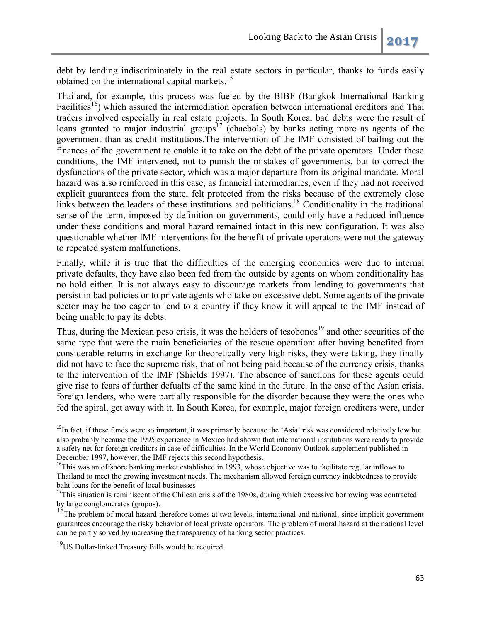debt by lending indiscriminately in the real estate sectors in particular, thanks to funds easily obtained on the international capital markets.<sup>15</sup>

Thailand, for example, this process was fueled by the BIBF (Bangkok International Banking Facilities<sup>16</sup>) which assured the intermediation operation between international creditors and Thai traders involved especially in real estate projects. In South Korea, bad debts were the result of loans granted to major industrial groups<sup>17</sup> (chaebols) by banks acting more as agents of the government than as credit institutions.The intervention of the IMF consisted of bailing out the finances of the government to enable it to take on the debt of the private operators. Under these conditions, the IMF intervened, not to punish the mistakes of governments, but to correct the dysfunctions of the private sector, which was a major departure from its original mandate. Moral hazard was also reinforced in this case, as financial intermediaries, even if they had not received explicit guarantees from the state, felt protected from the risks because of the extremely close links between the leaders of these institutions and politicians.<sup>18</sup> Conditionality in the traditional sense of the term, imposed by definition on governments, could only have a reduced influence under these conditions and moral hazard remained intact in this new configuration. It was also questionable whether IMF interventions for the benefit of private operators were not the gateway to repeated system malfunctions.

Finally, while it is true that the difficulties of the emerging economies were due to internal private defaults, they have also been fed from the outside by agents on whom conditionality has no hold either. It is not always easy to discourage markets from lending to governments that persist in bad policies or to private agents who take on excessive debt. Some agents of the private sector may be too eager to lend to a country if they know it will appeal to the IMF instead of being unable to pay its debts.

Thus, during the Mexican peso crisis, it was the holders of tesobonos<sup>19</sup> and other securities of the same type that were the main beneficiaries of the rescue operation: after having benefited from considerable returns in exchange for theoretically very high risks, they were taking, they finally did not have to face the supreme risk, that of not being paid because of the currency crisis, thanks to the intervention of the IMF (Shields 1997). The absence of sanctions for these agents could give rise to fears of further defualts of the same kind in the future. In the case of the Asian crisis, foreign lenders, who were partially responsible for the disorder because they were the ones who fed the spiral, get away with it. In South Korea, for example, major foreign creditors were, under

 $\overline{a}$ 

 $<sup>15</sup>$ In fact, if these funds were so important, it was primarily because the 'Asia' risk was considered relatively low but</sup> also probably because the 1995 experience in Mexico had shown that international institutions were ready to provide a safety net for foreign creditors in case of difficulties. In the World Economy Outlook supplement published in December 1997, however, the IMF rejects this second hypothesis.

<sup>&</sup>lt;sup>16</sup>This was an offshore banking market established in 1993, whose objective was to facilitate regular inflows to Thailand to meet the growing investment needs. The mechanism allowed foreign currency indebtedness to provide baht loans for the benefit of local businesses

<sup>&</sup>lt;sup>17</sup>This situation is reminiscent of the Chilean crisis of the 1980s, during which excessive borrowing was contracted by large conglomerates (grupos).

 $18$ The problem of moral hazard therefore comes at two levels, international and national, since implicit government guarantees encourage the risky behavior of local private operators. The problem of moral hazard at the national level can be partly solved by increasing the transparency of banking sector practices.

<sup>&</sup>lt;sup>19</sup>US Dollar-linked Treasury Bills would be required.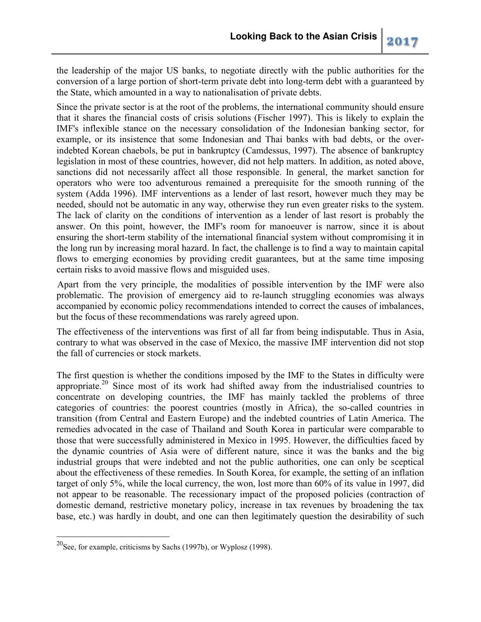the leadership of the major US banks, to negotiate directly with the public authorities for the conversion of a large portion of short-term private debt into long-term debt with a guaranteed by the State, which amounted in a way to nationalisation of private debts.

Since the private sector is at the root of the problems, the international community should ensure that it shares the financial costs of crisis solutions (Fischer 1997). This is likely to explain the IMF's inflexible stance on the necessary consolidation of the Indonesian banking sector, for example, or its insistence that some Indonesian and Thai banks with bad debts, or the overindebted Korean chaebols, be put in bankruptcy (Camdessus, 1997). The absence of bankruptcy legislation in most of these countries, however, did not help matters. In addition, as noted above, sanctions did not necessarily affect all those responsible. In general, the market sanction for operators who were too adventurous remained a prerequisite for the smooth running of the system (Adda 1996). IMF interventions as a lender of last resort, however much they may be needed, should not be automatic in any way, otherwise they run even greater risks to the system. The lack of clarity on the conditions of intervention as a lender of last resort is probably the answer. On this point, however, the IMF's room for manoeuver is narrow, since it is about ensuring the short-term stability of the international financial system without compromising it in the long run by increasing moral hazard. In fact, the challenge is to find a way to maintain capital flows to emerging economies by providing credit guarantees, but at the same time imposing certain risks to avoid massive flows and misguided uses.

Apart from the very principle, the modalities of possible intervention by the IMF were also problematic. The provision of emergency aid to re-launch struggling economies was always accompanied by economic policy recommendations intended to correct the causes of imbalances, but the focus of these recommendations was rarely agreed upon.

The effectiveness of the interventions was first of all far from being indisputable. Thus in Asia, contrary to what was observed in the case of Mexico, the massive IMF intervention did not stop the fall of currencies or stock markets.

The first question is whether the conditions imposed by the IMF to the States in difficulty were appropriate.<sup>20</sup> Since most of its work had shifted away from the industrialised countries to concentrate on developing countries, the IMF has mainly tackled the problems of three categories of countries: the poorest countries (mostly in Africa), the so-called countries in transition (from Central and Eastern Europe) and the indebted countries of Latin America. The remedies advocated in the case of Thailand and South Korea in particular were comparable to those that were successfully administered in Mexico in 1995. However, the difficulties faced by the dynamic countries of Asia were of different nature, since it was the banks and the big industrial groups that were indebted and not the public authorities, one can only be sceptical about the effectiveness of these remedies. In South Korea, for example, the setting of an inflation target of only 5%, while the local currency, the won, lost more than 60% of its value in 1997, did not appear to be reasonable. The recessionary impact of the proposed policies (contraction of domestic demand, restrictive monetary policy, increase in tax revenues by broadening the tax base, etc.) was hardly in doubt, and one can then legitimately question the desirability of such

 $^{20}$ See, for example, criticisms by Sachs (1997b), or Wyplosz (1998).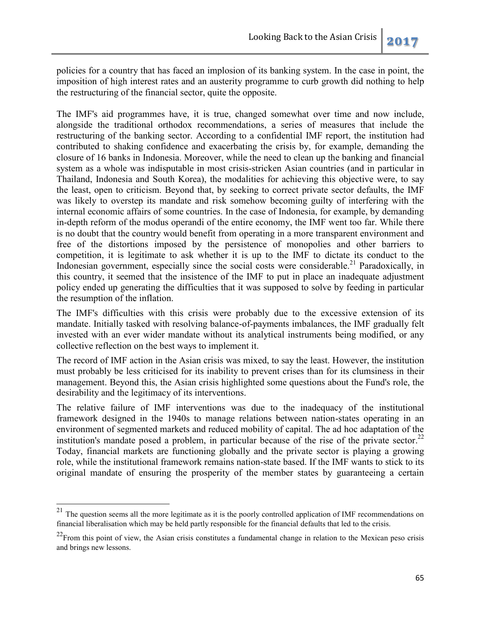policies for a country that has faced an implosion of its banking system. In the case in point, the imposition of high interest rates and an austerity programme to curb growth did nothing to help the restructuring of the financial sector, quite the opposite.

The IMF's aid programmes have, it is true, changed somewhat over time and now include, alongside the traditional orthodox recommendations, a series of measures that include the restructuring of the banking sector. According to a confidential IMF report, the institution had contributed to shaking confidence and exacerbating the crisis by, for example, demanding the closure of 16 banks in Indonesia. Moreover, while the need to clean up the banking and financial system as a whole was indisputable in most crisis-stricken Asian countries (and in particular in Thailand, Indonesia and South Korea), the modalities for achieving this objective were, to say the least, open to criticism. Beyond that, by seeking to correct private sector defaults, the IMF was likely to overstep its mandate and risk somehow becoming guilty of interfering with the internal economic affairs of some countries. In the case of Indonesia, for example, by demanding in-depth reform of the modus operandi of the entire economy, the IMF went too far. While there is no doubt that the country would benefit from operating in a more transparent environment and free of the distortions imposed by the persistence of monopolies and other barriers to competition, it is legitimate to ask whether it is up to the IMF to dictate its conduct to the Indonesian government, especially since the social costs were considerable.<sup>21</sup> Paradoxically, in this country, it seemed that the insistence of the IMF to put in place an inadequate adjustment policy ended up generating the difficulties that it was supposed to solve by feeding in particular the resumption of the inflation.

The IMF's difficulties with this crisis were probably due to the excessive extension of its mandate. Initially tasked with resolving balance-of-payments imbalances, the IMF gradually felt invested with an ever wider mandate without its analytical instruments being modified, or any collective reflection on the best ways to implement it.

The record of IMF action in the Asian crisis was mixed, to say the least. However, the institution must probably be less criticised for its inability to prevent crises than for its clumsiness in their management. Beyond this, the Asian crisis highlighted some questions about the Fund's role, the desirability and the legitimacy of its interventions.

The relative failure of IMF interventions was due to the inadequacy of the institutional framework designed in the 1940s to manage relations between nation-states operating in an environment of segmented markets and reduced mobility of capital. The ad hoc adaptation of the institution's mandate posed a problem, in particular because of the rise of the private sector. $^{22}$ Today, financial markets are functioning globally and the private sector is playing a growing role, while the institutional framework remains nation-state based. If the IMF wants to stick to its original mandate of ensuring the prosperity of the member states by guaranteeing a certain

 $\overline{a}$ 

 $^{21}$  The question seems all the more legitimate as it is the poorly controlled application of IMF recommendations on financial liberalisation which may be held partly responsible for the financial defaults that led to the crisis.

 $22$ From this point of view, the Asian crisis constitutes a fundamental change in relation to the Mexican peso crisis and brings new lessons.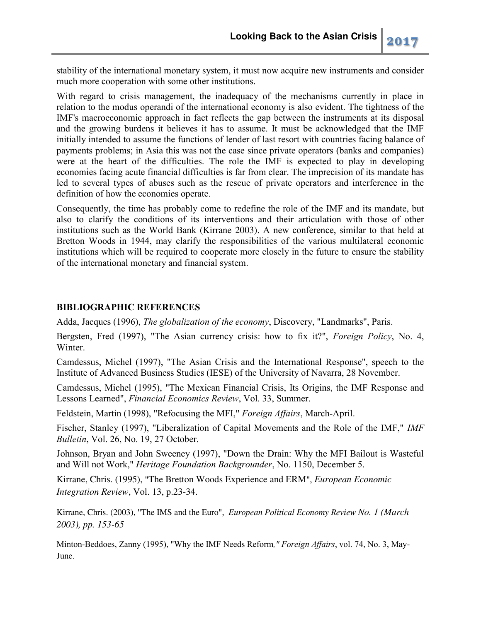stability of the international monetary system, it must now acquire new instruments and consider much more cooperation with some other institutions.

With regard to crisis management, the inadequacy of the mechanisms currently in place in relation to the modus operandi of the international economy is also evident. The tightness of the IMF's macroeconomic approach in fact reflects the gap between the instruments at its disposal and the growing burdens it believes it has to assume. It must be acknowledged that the IMF initially intended to assume the functions of lender of last resort with countries facing balance of payments problems; in Asia this was not the case since private operators (banks and companies) were at the heart of the difficulties. The role the IMF is expected to play in developing economies facing acute financial difficulties is far from clear. The imprecision of its mandate has led to several types of abuses such as the rescue of private operators and interference in the definition of how the economies operate.

Consequently, the time has probably come to redefine the role of the IMF and its mandate, but also to clarify the conditions of its interventions and their articulation with those of other institutions such as the World Bank (Kirrane 2003). A new conference, similar to that held at Bretton Woods in 1944, may clarify the responsibilities of the various multilateral economic institutions which will be required to cooperate more closely in the future to ensure the stability of the international monetary and financial system.

## **BIBLIOGRAPHIC REFERENCES**

Adda, Jacques (1996), *The globalization of the economy*, Discovery, "Landmarks", Paris.

Bergsten, Fred (1997), "The Asian currency crisis: how to fix it?", *Foreign Policy*, No. 4, Winter.

Camdessus, Michel (1997), "The Asian Crisis and the International Response", speech to the Institute of Advanced Business Studies (IESE) of the University of Navarra, 28 November.

Camdessus, Michel (1995), "The Mexican Financial Crisis, Its Origins, the IMF Response and Lessons Learned", *Financial Economics Review*, Vol. 33, Summer.

Feldstein, Martin (1998), "Refocusing the MFI," *Foreign Affairs*, March-April.

Fischer, Stanley (1997), "Liberalization of Capital Movements and the Role of the IMF," *IMF Bulletin*, Vol. 26, No. 19, 27 October.

Johnson, Bryan and John Sweeney (1997), "Down the Drain: Why the MFI Bailout is Wasteful and Will not Work," *Heritage Foundation Backgrounder*, No. 1150, December 5.

Kirrane, Chris. (1995), "The Bretton Woods Experience and ERM", *European Economic Integration Review*, Vol. 13, p.23-34.

Kirrane, Chris. (2003), "The IMS and the Euro", *European Political Economy Review No. 1 (March 2003), pp. 153-65* 

Minton-Beddoes, Zanny (1995), "Why the IMF Needs Reform*," Foreign Affairs*, vol. 74, No. 3, May-June.